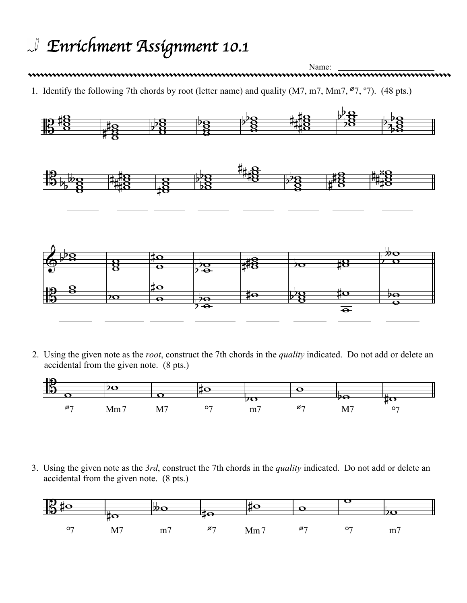## *Enrichment Assignment 10.1*

Name: 1. Identify the following 7th chords by root (letter name) and quality (M7, m7, Mm7, Ø7, º7). (48 pts.)



2. Using the given note as the *root*, construct the 7th chords in the *quality* indicated. Do not add or delete an accidental from the given note. (8 pts.)



3. Using the given note as the *3rd*, construct the 7th chords in the *quality* indicated. Do not add or delete an accidental from the given note. (8 pts.)